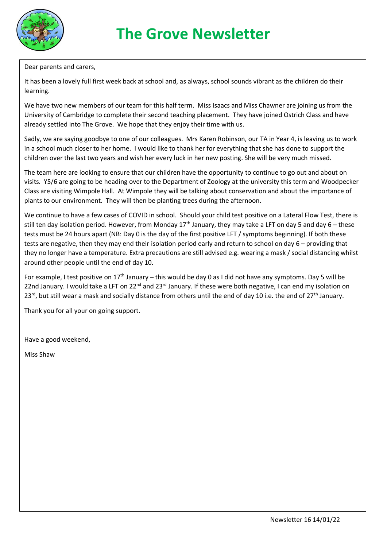

Dear parents and carers,

It has been a lovely full first week back at school and, as always, school sounds vibrant as the children do their learning.

We have two new members of our team for this half term. Miss Isaacs and Miss Chawner are joining us from the University of Cambridge to complete their second teaching placement. They have joined Ostrich Class and have already settled into The Grove. We hope that they enjoy their time with us.

Sadly, we are saying goodbye to one of our colleagues. Mrs Karen Robinson, our TA in Year 4, is leaving us to work in a school much closer to her home. I would like to thank her for everything that she has done to support the children over the last two years and wish her every luck in her new posting. She will be very much missed.

The team here are looking to ensure that our children have the opportunity to continue to go out and about on visits. Y5/6 are going to be heading over to the Department of Zoology at the university this term and Woodpecker Class are visiting Wimpole Hall. At Wimpole they will be talking about conservation and about the importance of plants to our environment. They will then be planting trees during the afternoon.

We continue to have a few cases of COVID in school. Should your child test positive on a Lateral Flow Test, there is still ten day isolation period. However, from Monday 17<sup>th</sup> January, they may take a LFT on day 5 and day 6 – these tests must be 24 hours apart (NB: Day 0 is the day of the first positive LFT / symptoms beginning). If both these tests are negative, then they may end their isolation period early and return to school on day 6 – providing that they no longer have a temperature. Extra precautions are still advised e.g. wearing a mask / social distancing whilst around other people until the end of day 10.

For example, I test positive on  $17<sup>th</sup>$  January – this would be day 0 as I did not have any symptoms. Day 5 will be 22nd January. I would take a LFT on 22<sup>nd</sup> and 23<sup>rd</sup> January. If these were both negative, I can end my isolation on 23<sup>rd</sup>, but still wear a mask and socially distance from others until the end of day 10 i.e. the end of 27<sup>th</sup> January.

Thank you for all your on going support.

Have a good weekend,

Miss Shaw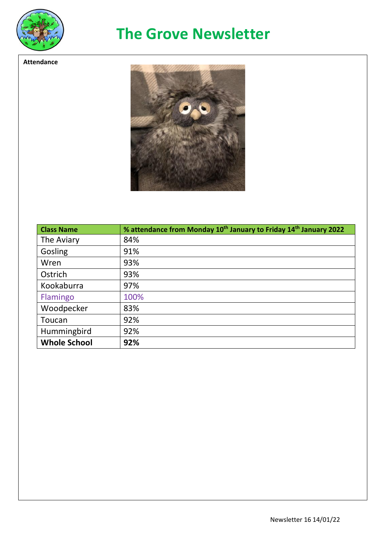

**Attendance**

## **The Grove Newsletter**



| <b>Class Name</b>   | % attendance from Monday 10 <sup>th</sup> January to Friday 14 <sup>th</sup> January 2022 |
|---------------------|-------------------------------------------------------------------------------------------|
| The Aviary          | 84%                                                                                       |
| Gosling             | 91%                                                                                       |
| Wren                | 93%                                                                                       |
| Ostrich             | 93%                                                                                       |
| Kookaburra          | 97%                                                                                       |
| Flamingo            | 100%                                                                                      |
| Woodpecker          | 83%                                                                                       |
| Toucan              | 92%                                                                                       |
| Hummingbird         | 92%                                                                                       |
| <b>Whole School</b> | 92%                                                                                       |